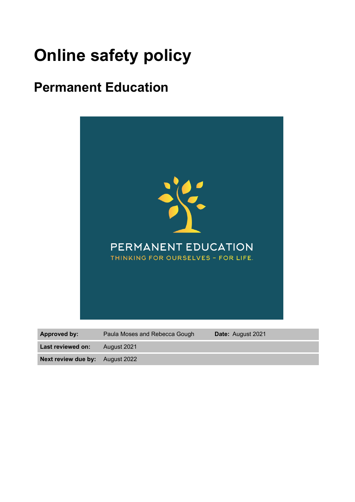# **Online safety policy**

## **Permanent Education**



**Next review due by:** August 2022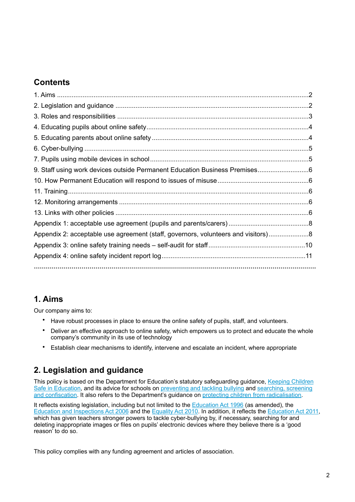## **Contents**

| Appendix 2: acceptable use agreement (staff, governors, volunteers and visitors)8 |
|-----------------------------------------------------------------------------------|
|                                                                                   |
|                                                                                   |
|                                                                                   |

## <span id="page-1-0"></span>**1. Aims**

Our company aims to:

- Have robust processes in place to ensure the online safety of pupils, staff, and volunteers.
- Deliver an effective approach to online safety, which empowers us to protect and educate the whole company's community in its use of technology
- Establish clear mechanisms to identify, intervene and escalate an incident, where appropriate

## <span id="page-1-1"></span>**2. Legislation and guidance**

This policy is based on the Department for Education's statutory safeguarding guidance, Keeping Children [Safe in Education](https://www.gov.uk/government/publications/keeping-children-safe-in-education--2), and its advice for schools on [preventing and tackling bullying](https://www.gov.uk/government/publications/preventing-and-tackling-bullying) and searching, screening [and confiscation.](https://www.gov.uk/government/publications/searching-screening-and-confiscation) It also refers to the Department's guidance on [protecting children from radicalisation](https://www.gov.uk/government/publications/protecting-children-from-radicalisation-the-prevent-duty).

It reflects existing legislation, including but not limited to the [Education Act 1996](https://www.legislation.gov.uk/ukpga/1996/56/contents) (as amended), the [Education and Inspections Act 2006](https://www.legislation.gov.uk/ukpga/2006/40/contents) and the [Equality Act 2010.](https://www.legislation.gov.uk/ukpga/2010/15/contents) In addition, it reflects the [Education Act 2011](http://www.legislation.gov.uk/ukpga/2011/21/contents/enacted), which has given teachers stronger powers to tackle cyber-bullying by, if necessary, searching for and deleting inappropriate images or files on pupils' electronic devices where they believe there is a 'good reason' to do so.

This policy complies with any funding agreement and articles of association.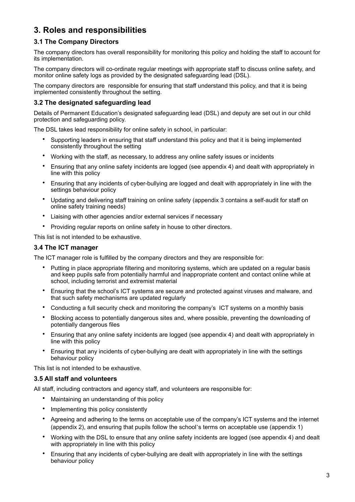## <span id="page-2-0"></span>**3. Roles and responsibilities**

#### **3.1 The Company Directors**

The company directors has overall responsibility for monitoring this policy and holding the staff to account for its implementation.

The company directors will co-ordinate regular meetings with appropriate staff to discuss online safety, and monitor online safety logs as provided by the designated safeguarding lead (DSL).

The company directors are responsible for ensuring that staff understand this policy, and that it is being implemented consistently throughout the setting.

#### **3.2 The designated safeguarding lead**

Details of Permanent Education's designated safeguarding lead (DSL) and deputy are set out in our child protection and safeguarding policy.

The DSL takes lead responsibility for online safety in school, in particular:

- Supporting leaders in ensuring that staff understand this policy and that it is being implemented consistently throughout the setting
- Working with the staff, as necessary, to address any online safety issues or incidents
- Ensuring that any online safety incidents are logged (see appendix 4) and dealt with appropriately in line with this policy
- Ensuring that any incidents of cyber-bullying are logged and dealt with appropriately in line with the settings behaviour policy
- Updating and delivering staff training on online safety (appendix 3 contains a self-audit for staff on online safety training needs)
- Liaising with other agencies and/or external services if necessary
- Providing regular reports on online safety in house to other directors.

This list is not intended to be exhaustive.

#### **3.4 The ICT manager**

The ICT manager role is fulfilled by the company directors and they are responsible for:

- Putting in place appropriate filtering and monitoring systems, which are updated on a regular basis and keep pupils safe from potentially harmful and inappropriate content and contact online while at school, including terrorist and extremist material
- Ensuring that the school's ICT systems are secure and protected against viruses and malware, and that such safety mechanisms are updated regularly
- Conducting a full security check and monitoring the company's ICT systems on a monthly basis
- Blocking access to potentially dangerous sites and, where possible, preventing the downloading of potentially dangerous files
- Ensuring that any online safety incidents are logged (see appendix 4) and dealt with appropriately in line with this policy
- Ensuring that any incidents of cyber-bullying are dealt with appropriately in line with the settings behaviour policy

This list is not intended to be exhaustive.

#### **3.5 All staff and volunteers**

All staff, including contractors and agency staff, and volunteers are responsible for:

- Maintaining an understanding of this policy
- Implementing this policy consistently
- Agreeing and adhering to the terms on acceptable use of the company's ICT systems and the internet (appendix 2), and ensuring that pupils follow the school's terms on acceptable use (appendix 1)
- Working with the DSL to ensure that any online safety incidents are logged (see appendix 4) and dealt with appropriately in line with this policy
- Ensuring that any incidents of cyber-bullying are dealt with appropriately in line with the settings behaviour policy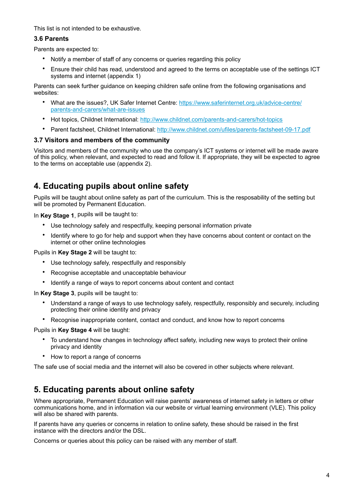This list is not intended to be exhaustive.

#### **3.6 Parents**

Parents are expected to:

- Notify a member of staff of any concerns or queries regarding this policy
- Ensure their child has read, understood and agreed to the terms on acceptable use of the settings ICT systems and internet (appendix 1)

Parents can seek further guidance on keeping children safe online from the following organisations and websites:

- What are the issues?, UK Safer Internet Centre: [https://www.saferinternet.org.uk/advice-centre/](https://www.saferinternet.org.uk/advice-centre/parents-and-carers/what-are-issues) [parents-and-carers/what-are-issues](https://www.saferinternet.org.uk/advice-centre/parents-and-carers/what-are-issues)
- Hot topics, Childnet International:<http://www.childnet.com/parents-and-carers/hot-topics>
- Parent factsheet, Childnet International: <http://www.childnet.com/ufiles/parents-factsheet-09-17.pdf>

#### **3.7 Visitors and members of the community**

Visitors and members of the community who use the company's ICT systems or internet will be made aware of this policy, when relevant, and expected to read and follow it. If appropriate, they will be expected to agree to the terms on acceptable use (appendix 2).

## <span id="page-3-0"></span>**4. Educating pupils about online safety**

Pupils will be taught about online safety as part of the curriculum. This is the resposability of the setting but will be promoted by Permanent Education.

In **Key Stage 1**, pupils will be taught to:

- Use technology safely and respectfully, keeping personal information private
- Identify where to go for help and support when they have concerns about content or contact on the internet or other online technologies

Pupils in **Key Stage 2** will be taught to:

- Use technology safely, respectfully and responsibly
- Recognise acceptable and unacceptable behaviour
- Identify a range of ways to report concerns about content and contact

In **Key Stage 3**, pupils will be taught to:

- Understand a range of ways to use technology safely, respectfully, responsibly and securely, including protecting their online identity and privacy
- Recognise inappropriate content, contact and conduct, and know how to report concerns

Pupils in **Key Stage 4** will be taught:

- To understand how changes in technology affect safety, including new ways to protect their online privacy and identity
- How to report a range of concerns

The safe use of social media and the internet will also be covered in other subjects where relevant.

## <span id="page-3-1"></span>**5. Educating parents about online safety**

Where appropriate, Permanent Education will raise parents' awareness of internet safety in letters or other communications home, and in information via our website or virtual learning environment (VLE). This policy will also be shared with parents.

If parents have any queries or concerns in relation to online safety, these should be raised in the first instance with the directors and/or the DSL.

Concerns or queries about this policy can be raised with any member of staff.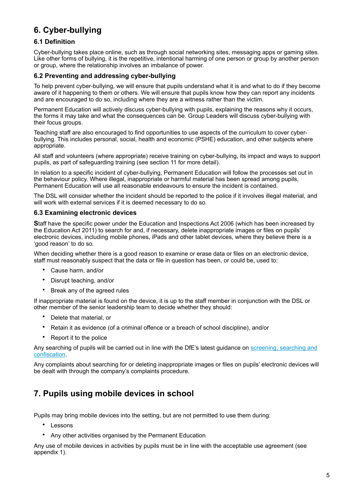## <span id="page-4-0"></span>**6. Cyber-bullying**

#### **6.1 Definition**

Cyber-bullying takes place online, such as through social networking sites, messaging apps or gaming sites. Like other forms of bullying, it is the repetitive, intentional harming of one person or group by another person or group, where the relationship involves an imbalance of power.

#### **6.2 Preventing and addressing cyber-bullying**

To help prevent cyber-bullying, we will ensure that pupils understand what it is and what to do if they become aware of it happening to them or others. We will ensure that pupils know how they can report any incidents and are encouraged to do so, including where they are a witness rather than the victim.

Permanent Education will actively discuss cyber-bullying with pupils, explaining the reasons why it occurs, the forms it may take and what the consequences can be. Group Leaders will discuss cyber-bullying with their focus groups.

Teaching staff are also encouraged to find opportunities to use aspects of the curriculum to cover cyberbullying. This includes personal, social, health and economic (PSHE) education, and other subjects where appropriate.

All staff and volunteers (where appropriate) receive training on cyber-bullying, its impact and ways to support pupils, as part of safeguarding training (see section 11 for more detail).

In relation to a specific incident of cyber-bullying, Permanent Education will follow the processes set out in the behaviour policy. Where illegal, inappropriate or harmful material has been spread among pupils, Permanent Education will use all reasonable endeavours to ensure the incident is contained.

The DSL will consider whether the incident should be reported to the police if it involves illegal material, and will work with external services if it is deemed necessary to do so.

#### **6.3 Examining electronic devices**

**S**taff have the specific power under the Education and Inspections Act 2006 (which has been increased by the Education Act 2011) to search for and, if necessary, delete inappropriate images or files on pupils' electronic devices, including mobile phones, iPads and other tablet devices, where they believe there is a 'good reason' to do so.

When deciding whether there is a good reason to examine or erase data or files on an electronic device, staff must reasonably suspect that the data or file in question has been, or could be, used to:

- Cause harm, and/or
- Disrupt teaching, and/or
- Break any of the agreed rules

If inappropriate material is found on the device, it is up to the staff member in conjunction with the DSL or other member of the senior leadership team to decide whether they should:

- Delete that material, or
- Retain it as evidence (of a criminal offence or a breach of school discipline), and/or
- Report it to the police

Any searching of pupils will be carried out in line with the DfE's latest guidance on [screening, searching and](https://www.gov.uk/government/publications/searching-screening-and-confiscation)  [confiscation.](https://www.gov.uk/government/publications/searching-screening-and-confiscation)

Any complaints about searching for or deleting inappropriate images or files on pupils' electronic devices will be dealt with through the company's complaints procedure.

## <span id="page-4-1"></span>**7. Pupils using mobile devices in school**

Pupils may bring mobile devices into the setting, but are not permitted to use them during:

- Lessons
- Any other activities organised by the Permanent Education

Any use of mobile devices in activities by pupils must be in line with the acceptable use agreement (see appendix 1).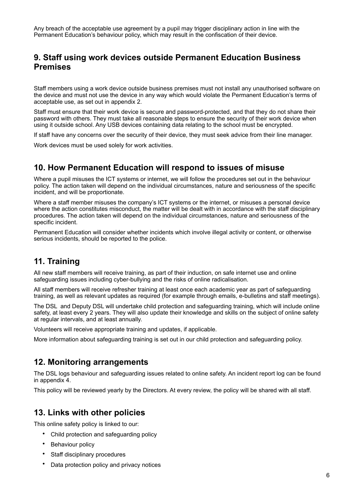Any breach of the acceptable use agreement by a pupil may trigger disciplinary action in line with the Permanent Education's behaviour policy, which may result in the confiscation of their device.

## <span id="page-5-0"></span>**9. Staff using work devices outside Permanent Education Business Premises**

Staff members using a work device outside business premises must not install any unauthorised software on the device and must not use the device in any way which would violate the Permanent Education's terms of acceptable use, as set out in appendix 2.

Staff must ensure that their work device is secure and password-protected, and that they do not share their password with others. They must take all reasonable steps to ensure the security of their work device when using it outside school. Any USB devices containing data relating to the school must be encrypted.

If staff have any concerns over the security of their device, they must seek advice from their line manager.

Work devices must be used solely for work activities.

#### <span id="page-5-1"></span>**10. How Permanent Education will respond to issues of misuse**

Where a pupil misuses the ICT systems or internet, we will follow the procedures set out in the behaviour policy. The action taken will depend on the individual circumstances, nature and seriousness of the specific incident, and will be proportionate.

Where a staff member misuses the company's ICT systems or the internet, or misuses a personal device where the action constitutes misconduct, the matter will be dealt with in accordance with the staff disciplinary procedures. The action taken will depend on the individual circumstances, nature and seriousness of the specific incident.

Permanent Education will consider whether incidents which involve illegal activity or content, or otherwise serious incidents, should be reported to the police.

## <span id="page-5-2"></span>**11. Training**

All new staff members will receive training, as part of their induction, on safe internet use and online safeguarding issues including cyber-bullying and the risks of online radicalisation.

All staff members will receive refresher training at least once each academic year as part of safeguarding training, as well as relevant updates as required (for example through emails, e-bulletins and staff meetings).

The DSL and Deputy DSL will undertake child protection and safeguarding training, which will include online safety, at least every 2 years. They will also update their knowledge and skills on the subject of online safety at regular intervals, and at least annually.

Volunteers will receive appropriate training and updates, if applicable.

More information about safeguarding training is set out in our child protection and safeguarding policy.

## <span id="page-5-3"></span>**12. Monitoring arrangements**

The DSL logs behaviour and safeguarding issues related to online safety. An incident report log can be found in appendix 4.

This policy will be reviewed yearly by the Directors. At every review, the policy will be shared with all staff.

## <span id="page-5-4"></span>**13. Links with other policies**

This online safety policy is linked to our:

- Child protection and safeguarding policy
- Behaviour policy
- Staff disciplinary procedures
- Data protection policy and privacy notices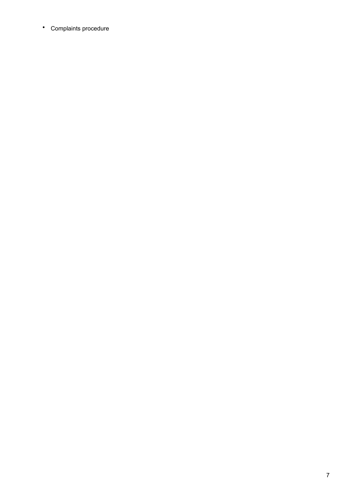• Complaints procedure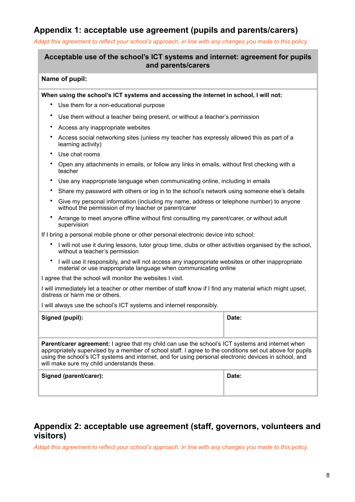## <span id="page-7-0"></span>**Appendix 1: acceptable use agreement (pupils and parents/carers)**

*Adapt this agreement to reflect your school's approach, in line with any changes you made to this policy.*

## **Acceptable use of the school's ICT systems and internet: agreement for pupils and parents/carers**

#### **Name of pupil:**

**When using the school's ICT systems and accessing the internet in school, I will not:** 

- Use them for a non-educational purpose
- Use them without a teacher being present, or without a teacher's permission
- Access any inappropriate websites
- Access social networking sites (unless my teacher has expressly allowed this as part of a learning activity)
- Use chat rooms
- Open any attachments in emails, or follow any links in emails, without first checking with a teacher
- Use any inappropriate language when communicating online, including in emails
- Share my password with others or log in to the school's network using someone else's details
- Give my personal information (including my name, address or telephone number) to anyone without the permission of my teacher or parent/carer
- Arrange to meet anyone offline without first consulting my parent/carer, or without adult supervision

If I bring a personal mobile phone or other personal electronic device into school:

- I will not use it during lessons, tutor group time, clubs or other activities organised by the school, without a teacher's permission
- I will use it responsibly, and will not access any inappropriate websites or other inappropriate material or use inappropriate language when communicating online

I agree that the school will monitor the websites I visit.

I will immediately let a teacher or other member of staff know if I find any material which might upset, distress or harm me or others.

I will always use the school's ICT systems and internet responsibly.

| Signed (pupil):                                                                                                                                                                                                                                                                                                                                                            | Date: |  |  |  |  |  |
|----------------------------------------------------------------------------------------------------------------------------------------------------------------------------------------------------------------------------------------------------------------------------------------------------------------------------------------------------------------------------|-------|--|--|--|--|--|
| <b>Parent/carer agreement:</b> I agree that my child can use the school's ICT systems and internet when<br>appropriately supervised by a member of school staff. I agree to the conditions set out above for pupils<br>using the school's ICT systems and internet, and for using personal electronic devices in school, and<br>will make sure my child understands these. |       |  |  |  |  |  |
| Signed (parent/carer):                                                                                                                                                                                                                                                                                                                                                     | Date: |  |  |  |  |  |

## <span id="page-7-1"></span>**Appendix 2: acceptable use agreement (staff, governors, volunteers and visitors)**

*Adapt this agreement to reflect your school's approach, in line with any changes you made to this policy.*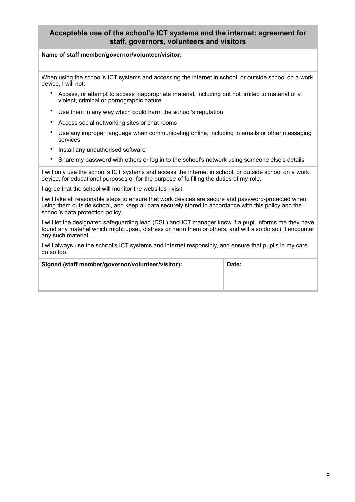#### **Acceptable use of the school's ICT systems and the internet: agreement for staff, governors, volunteers and visitors**

#### **Name of staff member/governor/volunteer/visitor:**

When using the school's ICT systems and accessing the internet in school, or outside school on a work device, I will not:

- Access, or attempt to access inappropriate material, including but not limited to material of a violent, criminal or pornographic nature
- Use them in any way which could harm the school's reputation
- Access social networking sites or chat rooms
- Use any improper language when communicating online, including in emails or other messaging services
- Install any unauthorised software
- Share my password with others or log in to the school's network using someone else's details

I will only use the school's ICT systems and access the internet in school, or outside school on a work device, for educational purposes or for the purpose of fulfilling the duties of my role.

I agree that the school will monitor the websites I visit.

I will take all reasonable steps to ensure that work devices are secure and password-protected when using them outside school, and keep all data securely stored in accordance with this policy and the school's data protection policy.

I will let the designated safeguarding lead (DSL) and ICT manager know if a pupil informs me they have found any material which might upset, distress or harm them or others, and will also do so if I encounter any such material.

I will always use the school's ICT systems and internet responsibly, and ensure that pupils in my care do so too.

| Signed (staff member/governor/volunteer/visitor): | Date: |
|---------------------------------------------------|-------|
|                                                   |       |
|                                                   |       |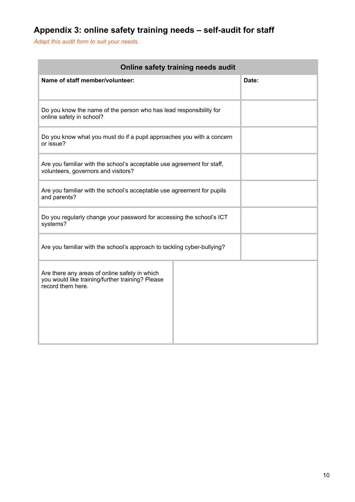## <span id="page-9-0"></span>**Appendix 3: online safety training needs – self-audit for staff**

*Adapt this audit form to suit your needs.*

| Online safety training needs audit                                                                                     |       |  |  |  |  |  |  |
|------------------------------------------------------------------------------------------------------------------------|-------|--|--|--|--|--|--|
| Name of staff member/volunteer:                                                                                        | Date: |  |  |  |  |  |  |
| Do you know the name of the person who has lead responsibility for<br>online safety in school?                         |       |  |  |  |  |  |  |
| Do you know what you must do if a pupil approaches you with a concern<br>or issue?                                     |       |  |  |  |  |  |  |
| Are you familiar with the school's acceptable use agreement for staff,<br>volunteers, governors and visitors?          |       |  |  |  |  |  |  |
| Are you familiar with the school's acceptable use agreement for pupils<br>and parents?                                 |       |  |  |  |  |  |  |
| Do you regularly change your password for accessing the school's ICT<br>systems?                                       |       |  |  |  |  |  |  |
| Are you familiar with the school's approach to tackling cyber-bullying?                                                |       |  |  |  |  |  |  |
| Are there any areas of online safety in which<br>you would like training/further training? Please<br>record them here. |       |  |  |  |  |  |  |